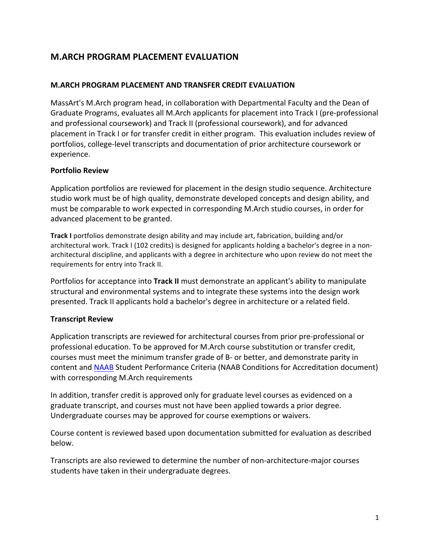# **M.ARCH PROGRAM PLACEMENT EVALUATION**

### **M.ARCH PROGRAM PLACEMENT AND TRANSFER CREDIT EVALUATION**

MassArt's M.Arch program head, in collaboration with Departmental Faculty and the Dean of Graduate Programs, evaluates all M.Arch applicants for placement into Track I (pre-professional and professional coursework) and Track II (professional coursework), and for advanced placement in Track I or for transfer credit in either program. This evaluation includes review of portfolios, college-level transcripts and documentation of prior architecture coursework or experience.

#### **Portfolio Review**

Application portfolios are reviewed for placement in the design studio sequence. Architecture studio work must be of high quality, demonstrate developed concepts and design ability, and must be comparable to work expected in corresponding M.Arch studio courses, in order for advanced placement to be granted.

Track I portfolios demonstrate design ability and may include art, fabrication, building and/or architectural work. Track I (102 credits) is designed for applicants holding a bachelor's degree in a nonarchitectural discipline, and applicants with a degree in architecture who upon review do not meet the requirements for entry into Track II.

Portfolios for acceptance into Track II must demonstrate an applicant's ability to manipulate structural and environmental systems and to integrate these systems into the design work presented. Track II applicants hold a bachelor's degree in architecture or a related field.

#### **Transcript Review**

Application transcripts are reviewed for architectural courses from prior pre-professional or professional education. To be approved for M.Arch course substitution or transfer credit, courses must meet the minimum transfer grade of B- or better, and demonstrate parity in content and [NAAB](http://www.naab.org/) Student Performance Criteria (NAAB Conditions for Accreditation document) with corresponding M.Arch requirements

In addition, transfer credit is approved only for graduate level courses as evidenced on a graduate transcript, and courses must not have been applied towards a prior degree. Undergraduate courses may be approved for course exemptions or waivers.

Course content is reviewed based upon documentation submitted for evaluation as described below.

Transcripts are also reviewed to determine the number of non-architecture-major courses students have taken in their undergraduate degrees.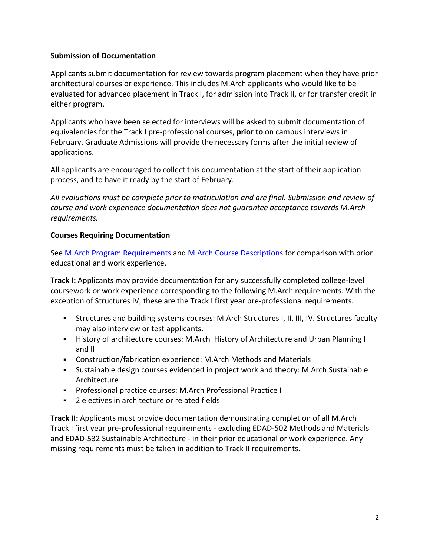## **Submission of Documentation**

Applicants submit documentation for review towards program placement when they have prior architectural courses or experience. This includes M.Arch applicants who would like to be evaluated for advanced placement in Track I, for admission into Track II, or for transfer credit in either program.

Applicants who have been selected for interviews will be asked to submit documentation of equivalencies for the Track I pre-professional courses, **prior to** on campus interviews in February. Graduate Admissions will provide the necessary forms after the initial review of applications.

All applicants are encouraged to collect this documentation at the start of their application process, and to have it ready by the start of February.

All evaluations must be complete prior to matriculation and are final. Submission and review of *course and work experience documentation does not guarantee acceptance towards M.Arch requirements.*

### **Courses Requiring Documentation**

See M.Arch Program Requirements and M.Arch Course Descriptions for comparison with prior educational and work experience.

**Track I:** Applicants may provide documentation for any successfully completed college-level coursework or work experience corresponding to the following M.Arch requirements. With the exception of Structures IV, these are the Track I first year pre-professional requirements.

- **•** Structures and building systems courses: M.Arch Structures I, II, III, IV. Structures faculty may also interview or test applicants.
- **EXECT:** History of architecture courses: M.Arch History of Architecture and Urban Planning I and II
- Construction/fabrication experience: M.Arch Methods and Materials
- **•** Sustainable design courses evidenced in project work and theory: M.Arch Sustainable Architecture
- **Professional practice courses: M.Arch Professional Practice I**
- 2 electives in architecture or related fields

**Track II:** Applicants must provide documentation demonstrating completion of all M.Arch Track I first year pre-professional requirements - excluding EDAD-502 Methods and Materials and EDAD-532 Sustainable Architecture - in their prior educational or work experience. Any missing requirements must be taken in addition to Track II requirements.